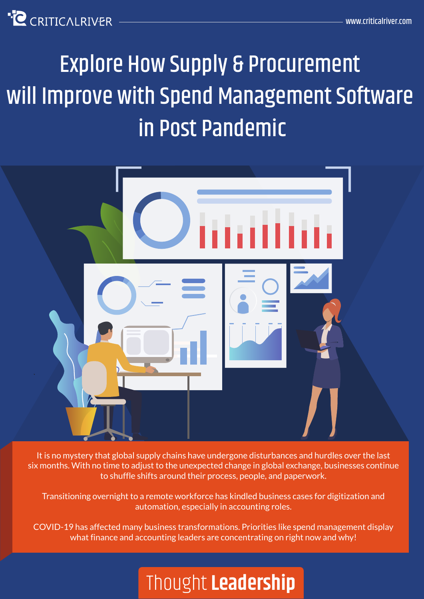**C** CRITICALRIVER

# Explore How Supply & Procurement will Improve with Spend Management Software in Post Pandemic



It is no mystery that global supply chains have undergone disturbances and hurdles over the last six months. With no time to adjust to the unexpected change in global exchange, businesses continue to shuffle shifts around their process, people, and paperwork.

Transitioning overnight to a remote workforce has kindled business cases for digitization and automation, especially in accounting roles.

COVID-19 has affected many business transformations. Priorities like spend management display what finance and accounting leaders are concentrating on right now and why!

## Thought **Leadership**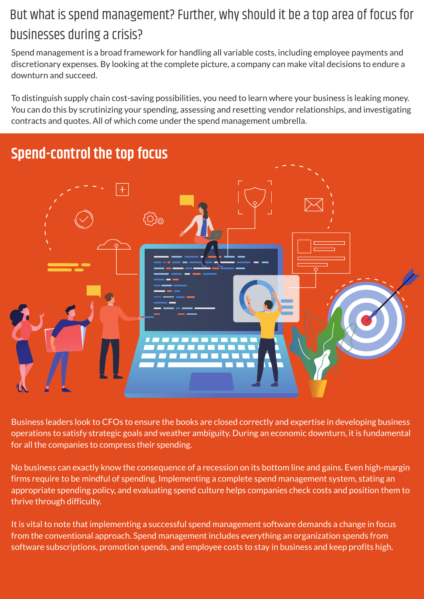#### But what is spend management? Further, why should it be a top area of focus for businesses during a crisis?

Spend management is a broad framework for handling all variable costs, including employee payments and discretionary expenses. By looking at the complete picture, a company can make vital decisions to endure a downturn and succeed.

To distinguish supply chain cost-saving possibilities, you need to learn where your business is leaking money. You can do this by scrutinizing your spending, assessing and resetting vendor relationships, and investigating contracts and quotes. All of which come under the spend management umbrella.



Business leaders look to CFOs to ensure the books are closed correctly and expertise in developing business operations to satisfy strategic goals and weather ambiguity. During an economic downturn, it is fundamental for all the companies to compress their spending.

No business can exactly know the consequence of a recession on its bottom line and gains. Even high-margin firms require to be mindful of spending. Implementing a complete spend management system, stating an appropriate spending policy, and evaluating spend culture helps companies check costs and position them to thrive through difficulty.

It is vital to note that implementing a successful spend management software demands a change in focus from the conventional approach. Spend management includes everything an organization spends from software subscriptions, promotion spends, and employee costs to stay in business and keep profits high.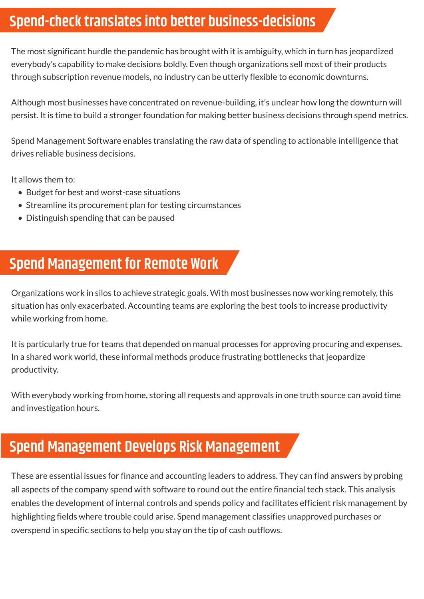#### **Spend-check translates into better business-decisions**

The most significant hurdle the pandemic has brought with it is ambiguity, which in turn has jeopardized everybody's capability to make decisions boldly. Even though organizations sell most of their products through subscription revenue models, no industry can be utterly flexible to economic downturns.

Although most businesses have concentrated on revenue-building, it's unclear how long the downturn will persist. It is time to build a stronger foundation for making better business decisions through spend metrics.

Spend Management Software enables translating the raw data of spending to actionable intelligence that drives reliable business decisions.

It allows them to:

- Budget for best and worst-case situations
- Streamline its procurement plan for testing circumstances
- Distinguish spending that can be paused

#### **Spend Management for Remote Work**

Organizations work in silos to achieve strategic goals. With most businesses now working remotely, this situation has only exacerbated. Accounting teams are exploring the best tools to increase productivity while working from home.

It is particularly true for teams that depended on manual processes for approving procuring and expenses. In a shared work world, these informal methods produce frustrating bottlenecks that jeopardize productivity.

With everybody working from home, storing all requests and approvals in one truth source can avoid time and investigation hours.

#### **Spend Management Develops Risk Management**

These are essential issues for finance and accounting leaders to address. They can find answers by probing all aspects of the company spend with software to round out the entire financial tech stack. This analysis enables the development of internal controls and spends policy and facilitates efficient risk management by highlighting fields where trouble could arise. Spend management classifies unapproved purchases or overspend in specific sections to help you stay on the tip of cash outflows.